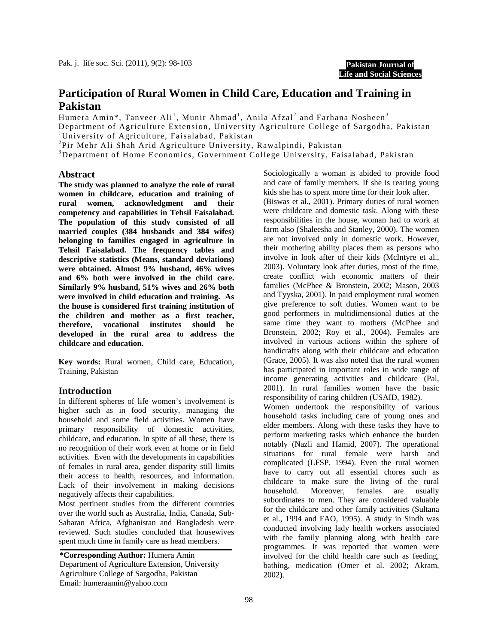**Pakistan Journal of Life and Social Sciences**

# **Participation of Rural Women in Child Care, Education and Training in Pakistan**

Humera Amin\*, Tanveer Ali<sup>1</sup>, Munir Ahmad<sup>1</sup>, Anila Afzal<sup>2</sup> and Farhana Nosheen<sup>3</sup>

Department of Agriculture Extension, University Agriculture College of Sargodha, Pakistan <sup>1</sup>University of Agriculture, Faisalabad, Pakistan

2 Pir Mehr Ali Shah Arid Agriculture University, Rawalpindi, Pakistan

3 Department of Home Economics, Government College University, Faisalabad, Pakistan

#### **Abstract**

**The study was planned to analyze the role of rural women in childcare, education and training of rural women, acknowledgment and their competency and capabilities in Tehsil Faisalabad. The population of this study consisted of all married couples (384 husbands and 384 wifes) belonging to families engaged in agriculture in Tehsil Faisalabad. The frequency tables and descriptive statistics (Means, standard deviations) were obtained. Almost 9% husband, 46% wives and 6% both were involved in the child care. Similarly 9% husband, 51% wives and 26% both were involved in child education and training. As the house is considered first training institution of the children and mother as a first teacher, therefore, vocational institutes should be developed in the rural area to address the childcare and education.** 

**Key words:** Rural women, Child care, Education, Training, Pakistan

## **Introduction**

In different spheres of life women's involvement is higher such as in food security, managing the household and some field activities. Women have primary responsibility of domestic activities, childcare, and education. In spite of all these, there is no recognition of their work even at home or in field activities. Even with the developments in capabilities of females in rural area, gender disparity still limits their access to health, resources, and information. Lack of their involvement in making decisions negatively affects their capabilities.

Most pertinent studies from the different countries over the world such as Australia, India, Canada, Sub-Saharan Africa, Afghanistan and Bangladesh were reviewed. Such studies concluded that housewives spent much time in family care as head members.

**\*Corresponding Author:** Humera Amin Department of Agriculture Extension, University Agriculture College of Sargodha, Pakistan Email: humeraamin@yahoo.com

Sociologically a woman is abided to provide food and care of family members. If she is rearing young kids she has to spent more time for their look after. (Biswas et al., 2001). Primary duties of rural women were childcare and domestic task. Along with these responsibilities in the house, woman had to work at farm also (Shaleesha and Stanley, 2000). The women are not involved only in domestic work. However, their mothering ability places them as persons who involve in look after of their kids (McIntyre et al., 2003). Voluntary look after duties, most of the time, create conflict with economic matters of their families (McPhee & Bronstein, 2002; Mason, 2003 and Tyyska, 2001). In paid employment rural women give preference to soft duties. Women want to be good performers in multidimensional duties at the same time they want to mothers (McPhee and Bronstein, 2002; Roy et al., 2004). Females are involved in various actions within the sphere of handicrafts along with their childcare and education (Grace, 2005). It was also noted that the rural women has participated in important roles in wide range of income generating activities and childcare (Pal, 2001). In rural families women have the basic responsibility of caring children (USAID, 1982).

Women undertook the responsibility of various household tasks including care of young ones and elder members. Along with these tasks they have to perform marketing tasks which enhance the burden notably (Nazli and Hamid, 2007). The operational situations for rural female were harsh and complicated (LFSP, 1994). Even the rural women have to carry out all essential chores such as childcare to make sure the living of the rural household. Moreover, females are usually subordinates to men. They are considered valuable for the childcare and other family activities (Sultana et al., 1994 and FAO, 1995). A study in Sindh was conducted involving lady health workers associated with the family planning along with health care programmes. It was reported that women were involved for the child health care such as feeding, bathing, medication (Omer et al. 2002; Akram, 2002).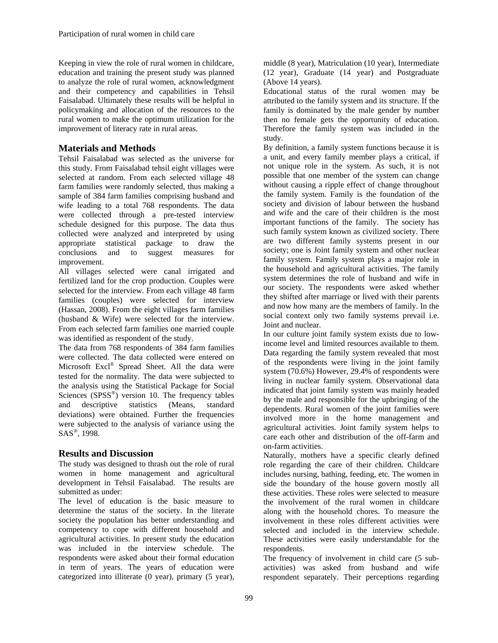Keeping in view the role of rural women in childcare, education and training the present study was planned to analyze the role of rural women, acknowledgment and their competency and capabilities in Tehsil Faisalabad. Ultimately these results will be helpful in policymaking and allocation of the resources to the rural women to make the optimum utilization for the improvement of literacy rate in rural areas.

# **Materials and Methods**

Tehsil Faisalabad was selected as the universe for this study. From Faisalabad tehsil eight villages were selected at random. From each selected village 48 farm families were randomly selected, thus making a sample of 384 farm families comprising husband and wife leading to a total 768 respondents. The data were collected through a pre-tested interview schedule designed for this purpose. The data thus collected were analyzed and interpreted by using appropriate statistical package to draw the conclusions and to suggest measures for improvement.

All villages selected were canal irrigated and fertilized land for the crop production. Couples were selected for the interview. From each village 48 farm families (couples) were selected for interview (Hassan, 2008). From the eight villages farm families (husband & Wife) were selected for the interview. From each selected farm families one married couple was identified as respondent of the study.

The data from 768 respondents of 384 farm families were collected. The data collected were entered on Microsoft Excl® Spread Sheet. All the data were tested for the normality. The data were subjected to the analysis using the Statistical Package for Social Sciences ( $SPSS^{\circledcirc}$ ) version 10. The frequency tables and descriptive statistics (Means, standard deviations) were obtained. Further the frequencies were subjected to the analysis of variance using the SAS<sup>®</sup>, 1998.

## **Results and Discussion**

The study was designed to thrash out the role of rural women in home management and agricultural development in Tehsil Faisalabad. The results are submitted as under:

The level of education is the basic measure to determine the status of the society. In the literate society the population has better understanding and competency to cope with different household and agricultural activities. In present study the education was included in the interview schedule. The respondents were asked about their formal education in term of years. The years of education were categorized into illiterate (0 year), primary (5 year),

middle (8 year), Matriculation (10 year), Intermediate (12 year), Graduate (14 year) and Postgraduate (Above 14 years).

Educational status of the rural women may be attributed to the family system and its structure. If the family is dominated by the male gender by number then no female gets the opportunity of education. Therefore the family system was included in the study.

By definition, a family system functions because it is a unit, and every family member plays a critical, if not unique role in the system. As such, it is not possible that one member of the system can change without causing a ripple effect of change throughout the family system. Family is the foundation of the society and division of labour between the husband and wife and the care of their children is the most important functions of the family. The society has such family system known as civilized society. There are two different family systems present in our society; one is Joint family system and other nuclear family system. Family system plays a major role in the household and agricultural activities. The family system determines the role of husband and wife in our society. The respondents were asked whether they shifted after marriage or lived with their parents and now how many are the members of family. In the social context only two family systems prevail i.e. Joint and nuclear.

In our culture joint family system exists due to lowincome level and limited resources available to them. Data regarding the family system revealed that most of the respondents were living in the joint family system (70.6%) However, 29.4% of respondents were living in nuclear family system. Observational data indicated that joint family system was mainly headed by the male and responsible for the upbringing of the dependents. Rural women of the joint families were involved more in the home management and agricultural activities. Joint family system helps to care each other and distribution of the off-farm and on-farm activities.

Naturally, mothers have a specific clearly defined role regarding the care of their children. Childcare includes nursing, bathing, feeding, etc. The women in side the boundary of the house govern mostly all these activities. These roles were selected to measure the involvement of the rural women in childcare along with the household chores. To measure the involvement in these roles different activities were selected and included in the interview schedule. These activities were easily understandable for the respondents.

The frequency of involvement in child care (5 subactivities) was asked from husband and wife respondent separately. Their perceptions regarding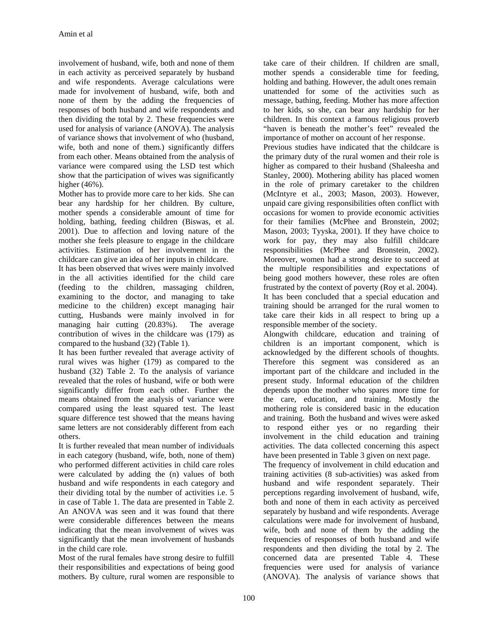involvement of husband, wife, both and none of them in each activity as perceived separately by husband and wife respondents. Average calculations were made for involvement of husband, wife, both and none of them by the adding the frequencies of responses of both husband and wife respondents and then dividing the total by 2. These frequencies were used for analysis of variance (ANOVA). The analysis of variance shows that involvement of who (husband, wife, both and none of them.) significantly differs from each other. Means obtained from the analysis of variance were compared using the LSD test which show that the participation of wives was significantly higher (46%).

Mother has to provide more care to her kids. She can bear any hardship for her children. By culture, mother spends a considerable amount of time for holding, bathing, feeding children (Biswas, et al. 2001). Due to affection and loving nature of the mother she feels pleasure to engage in the childcare activities. Estimation of her involvement in the childcare can give an idea of her inputs in childcare.

It has been observed that wives were mainly involved in the all activities identified for the child care (feeding to the children, massaging children, examining to the doctor, and managing to take medicine to the children) except managing hair cutting, Husbands were mainly involved in for managing hair cutting (20.83%). The average contribution of wives in the childcare was (179) as compared to the husband (32) (Table 1).

It has been further revealed that average activity of rural wives was higher (179) as compared to the husband (32) Table 2. To the analysis of variance revealed that the roles of husband, wife or both were significantly differ from each other. Further the means obtained from the analysis of variance were compared using the least squared test. The least square difference test showed that the means having same letters are not considerably different from each others.

It is further revealed that mean number of individuals in each category (husband, wife, both, none of them) who performed different activities in child care roles were calculated by adding the (n) values of both husband and wife respondents in each category and their dividing total by the number of activities i.e. 5 in case of Table 1. The data are presented in Table 2. An ANOVA was seen and it was found that there were considerable differences between the means indicating that the mean involvement of wives was significantly that the mean involvement of husbands in the child care role.

Most of the rural females have strong desire to fulfill their responsibilities and expectations of being good mothers. By culture, rural women are responsible to

take care of their children. If children are small, mother spends a considerable time for feeding, holding and bathing. However, the adult ones remain unattended for some of the activities such as message, bathing, feeding. Mother has more affection to her kids, so she, can bear any hardship for her children. In this context a famous religious proverb "haven is beneath the mother's feet" revealed the importance of mother on account of her response.

Previous studies have indicated that the childcare is the primary duty of the rural women and their role is higher as compared to their husband (Shaleesha and Stanley, 2000). Mothering ability has placed women in the role of primary caretaker to the children (McIntyre et al., 2003; Mason, 2003). However, unpaid care giving responsibilities often conflict with occasions for women to provide economic activities for their families (McPhee and Bronstein, 2002; Mason, 2003; Tyyska, 2001). If they have choice to work for pay, they may also fulfill childcare responsibilities (McPhee and Bronstein, 2002). Moreover, women had a strong desire to succeed at the multiple responsibilities and expectations of being good mothers however, these roles are often frustrated by the context of poverty (Roy et al. 2004). It has been concluded that a special education and

training should be arranged for the rural women to take care their kids in all respect to bring up a responsible member of the society.

Alongwith childcare, education and training of children is an important component, which is acknowledged by the different schools of thoughts. Therefore this segment was considered as an important part of the childcare and included in the present study. Informal education of the children depends upon the mother who spares more time for the care, education, and training. Mostly the mothering role is considered basic in the education and training. Both the husband and wives were asked to respond either yes or no regarding their involvement in the child education and training activities. The data collected concerning this aspect have been presented in Table 3 given on next page.

The frequency of involvement in child education and training activities (8 sub-activities) was asked from husband and wife respondent separately. Their perceptions regarding involvement of husband, wife, both and none of them in each activity as perceived separately by husband and wife respondents. Average calculations were made for involvement of husband, wife, both and none of them by the adding the frequencies of responses of both husband and wife respondents and then dividing the total by 2. The concerned data are presented Table 4. These frequencies were used for analysis of variance (ANOVA). The analysis of variance shows that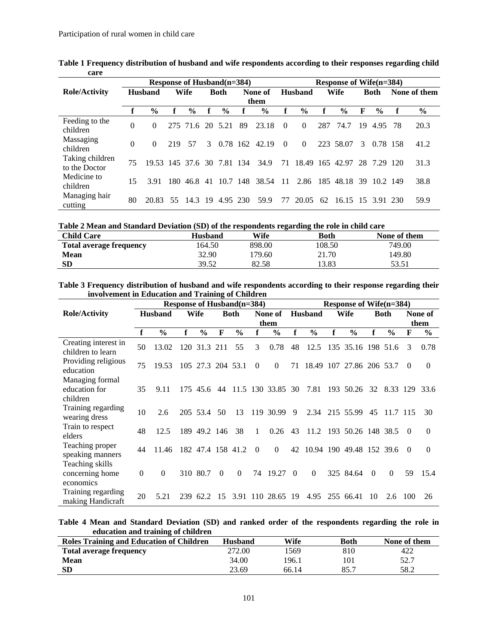|                                  |          |                            |      | Response of Husband(n=384) |     |               | Response of Wife(n=384) |         |          |                |     |                   |    |               |     |              |
|----------------------------------|----------|----------------------------|------|----------------------------|-----|---------------|-------------------------|---------|----------|----------------|-----|-------------------|----|---------------|-----|--------------|
| <b>Role/Activity</b>             |          | <b>Husband</b>             |      | Wife                       |     | <b>Both</b>   |                         | None of |          | <b>Husband</b> |     | Wife              |    | <b>Both</b>   |     | None of them |
|                                  |          |                            |      |                            |     |               |                         | them    |          |                |     |                   |    |               |     |              |
|                                  | f        | $\frac{6}{9}$              |      | $\frac{6}{6}$              |     | $\frac{6}{6}$ | f                       | $\%$    | f        | $\frac{6}{9}$  | f   | $\frac{6}{9}$     | F  | $\frac{6}{9}$ | f   | $\%$         |
| Feeding to the<br>children       | $\theta$ | $\left($                   |      | 275 71.6                   |     | 20 5.21       | -89                     | 23.18   | $\theta$ | $\Omega$       | 287 | 74.7              | 19 | 4.95          | -78 | 20.3         |
| Massaging<br>children            | $\theta$ | $\Omega$                   | 219  | 57                         | 3   | 0.78 162      |                         | 42.19   | $\Omega$ | $\theta$       |     | 223 58.07         | 3  | 0.78 158      |     | 41.2         |
| Taking children<br>to the Doctor | 75       | 19.53 145 37.6 30 7.81 134 |      |                            |     |               |                         | 34.9    | 71       | 18.49          | 165 | 42.97             | 28 | 7 29 1 20     |     | 31.3         |
| Medicine to<br>children          | 15       | 3.91                       | 180. | 46.8                       | -41 | 10.7          | -148                    | 38.54   | 11       | 2.86           | 185 | 48.18             | 39 | 10.2 149      |     | 38.8         |
| Managing hair<br>cutting         | 80       | 20.83                      | 55.  | 14.3 19                    |     | 4.95 230      |                         | 59.9    | 77       | 20.05          | 62  | 16.15 15 3.91 230 |    |               |     | 59.9         |

|      | Table 1 Frequency distribution of husband and wife respondents according to their responses regarding child |  |  |
|------|-------------------------------------------------------------------------------------------------------------|--|--|
| care |                                                                                                             |  |  |

**Table 2 Mean and Standard Deviation (SD) of the respondents regarding the role in child care** 

| <b>Child Care</b>              | <b>Husband</b> | Wife   | Both   | None of them |
|--------------------------------|----------------|--------|--------|--------------|
| <b>Total average frequency</b> | 164.50         | 898.00 | 108.50 | 749.00       |
| <b>Mean</b>                    | 32.90          | 179.60 | 21.70  | 149.80       |
| <b>SD</b>                      | 39.52          | 82.58  | 13.83  | 53.51        |

**Table 3 Frequency distribution of husband and wife respondents according to their response regarding their involvement in Education and Training of Children** 

|                                                 | <b>Response of Husband(n=384)</b> |                |     |                   |          |               |              |                   | Response of Wife(n=384) |                |     |                          |          |               |          |                |
|-------------------------------------------------|-----------------------------------|----------------|-----|-------------------|----------|---------------|--------------|-------------------|-------------------------|----------------|-----|--------------------------|----------|---------------|----------|----------------|
| <b>Role/Activity</b>                            |                                   | <b>Husband</b> |     | Wife              |          | <b>Both</b>   |              | None of           |                         | <b>Husband</b> |     | Wife                     |          | <b>Both</b>   |          | None of        |
|                                                 |                                   |                |     |                   |          |               |              | them              |                         |                |     |                          |          |               |          | them           |
|                                                 | f                                 | $\frac{6}{9}$  | f   | $\%$              | F        | $\frac{6}{9}$ |              | $\frac{0}{0}$     | f                       | $\frac{6}{9}$  | f   | $\frac{6}{6}$            | f        | $\frac{6}{6}$ | F        | $\%$           |
| Creating interest in<br>children to learn       | 50                                | 13.02          |     | 120 31.3          | 211      | 55            | 3            | 0.78              | 48                      | 12.5           |     | 135 35.16                |          | 198 51.6      | 3        | 0.78           |
| Providing religious<br>education                | 75                                | 19.53          |     | 105 27.3 204 53.1 |          |               | $\theta$     | $\Omega$          | 71                      |                |     | 18.49 107 27.86 206 53.7 |          |               | $\Omega$ | $\overline{0}$ |
| Managing formal<br>education for<br>children    | 35                                | 9.11           | 175 | 45.6              | 44       |               |              | 11.5 130 33.85    | 30                      | 7.81           | 193 | 50.26                    | 32       | 8.33 129      |          | 33.6           |
| Training regarding<br>wearing dress             | 10                                | 2.6            |     | 205 53.4          | 50       | 13            | 119          | 30.99             | 9                       | 2.34           |     | 215 55.99                | 45       | 11.7 115      |          | 30             |
| Train to respect<br>elders                      | 48                                | 12.5           | 189 | 49.2 146          |          | 38            | $\mathbf{1}$ | 0.26              | 43                      |                |     | 11.2 193 50.26 148 38.5  |          |               | 0        | $\Omega$       |
| Teaching proper<br>speaking manners             | 44                                | 11.46          |     | 182 47.4 158 41.2 |          |               | $\Omega$     | $\Omega$          | 42                      |                |     | 10.94 190 49.48 152 39.6 |          |               | $\Omega$ | $\theta$       |
| Teaching skills<br>concerning home<br>economics | $\theta$                          | $\Omega$       |     | 310 80.7          | $\Omega$ | $\Omega$      | 74           | 19.27             | $\Omega$                | $\Omega$       |     | 325 84.64                | $\Omega$ | $\theta$      | 59       | 15.4           |
| Training regarding<br>making Handicraft         | 20                                | 5.21           | 239 | 62.2              | 15       |               |              | 3.91 110 28.65 19 |                         | 4.95           | 255 | 66.41                    | 10       | 2.6           | 100      | 26             |

**Table 4 Mean and Standard Deviation (SD) and ranked order of the respondents regarding the role in education and training of children** 

| <b>Roles Training and Education of Children</b> | <b>Husband</b> | Wife  | Both | None of them |
|-------------------------------------------------|----------------|-------|------|--------------|
| <b>Total average frequency</b>                  | 272.00         | 569   | 810  | 422          |
| <b>Mean</b>                                     | 34.00          | 196.1 | 101  | 52.7         |
| SD                                              | 23.69          | 66.14 | 85.7 | 58.2         |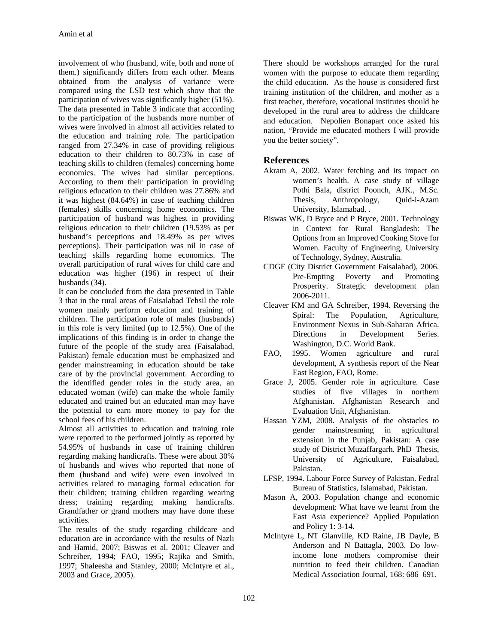involvement of who (husband, wife, both and none of them.) significantly differs from each other. Means obtained from the analysis of variance were compared using the LSD test which show that the participation of wives was significantly higher (51%). The data presented in Table 3 indicate that according to the participation of the husbands more number of wives were involved in almost all activities related to the education and training role. The participation ranged from 27.34% in case of providing religious education to their children to 80.73% in case of teaching skills to children (females) concerning home economics. The wives had similar perceptions. According to them their participation in providing religious education to their children was 27.86% and it was highest (84.64%) in case of teaching children (females) skills concerning home economics. The participation of husband was highest in providing religious education to their children (19.53% as per husband's perceptions and 18.49% as per wives perceptions). Their participation was nil in case of teaching skills regarding home economics. The overall participation of rural wives for child care and education was higher (196) in respect of their husbands (34).

It can be concluded from the data presented in Table 3 that in the rural areas of Faisalabad Tehsil the role women mainly perform education and training of children. The participation role of males (husbands) in this role is very limited (up to 12.5%). One of the implications of this finding is in order to change the future of the people of the study area (Faisalabad, Pakistan) female education must be emphasized and gender mainstreaming in education should be take care of by the provincial government. According to the identified gender roles in the study area, an educated woman (wife) can make the whole family educated and trained but an educated man may have the potential to earn more money to pay for the school fees of his children.

Almost all activities to education and training role were reported to the performed jointly as reported by 54.95% of husbands in case of training children regarding making handicrafts. These were about 30% of husbands and wives who reported that none of them (husband and wife) were even involved in activities related to managing formal education for their children; training children regarding wearing dress; training regarding making handicrafts. Grandfather or grand mothers may have done these activities.

The results of the study regarding childcare and education are in accordance with the results of Nazli and Hamid, 2007; Biswas et al. 2001; Cleaver and Schreiber, 1994; FAO, 1995; Rajika and Smith, 1997; Shaleesha and Stanley, 2000; McIntyre et al., 2003 and Grace, 2005).

There should be workshops arranged for the rural women with the purpose to educate them regarding the child education. As the house is considered first training institution of the children, and mother as a first teacher, therefore, vocational institutes should be developed in the rural area to address the childcare and education. Nepolien Bonapart once asked his nation, "Provide me educated mothers I will provide you the better society".

# **References**

- Akram A, 2002. Water fetching and its impact on women's health. A case study of village Pothi Bala, district Poonch, AJK., M.Sc. Thesis, Anthropology, Quid-i-Azam University, Islamabad. .
- Biswas WK, D Bryce and P Bryce, 2001. Technology in Context for Rural Bangladesh: The Options from an Improved Cooking Stove for Women. Faculty of Engineering, University of Technology, Sydney, Australia.
- CDGF (City District Government Faisalabad), 2006. Pre-Empting Poverty and Promoting Prosperity. Strategic development plan 2006-2011.
- Cleaver KM and GA Schreiber, 1994. Reversing the Spiral: The Population, Agriculture, Environment Nexus in Sub-Saharan Africa. Directions in Development Series. Washington, D.C. World Bank.
- FAO, 1995. Women agriculture and rural development, A synthesis report of the Near East Region, FAO, Rome.
- Grace J, 2005. Gender role in agriculture. Case studies of five villages in northern Afghanistan. Afghanistan Research and Evaluation Unit, Afghanistan.
- Hassan YZM, 2008. Analysis of the obstacles to gender mainstreaming in agricultural extension in the Punjab, Pakistan: A case study of District Muzaffargarh. PhD Thesis, University of Agriculture, Faisalabad, Pakistan.
- LFSP, 1994. Labour Force Survey of Pakistan. Fedral Bureau of Statistics, Islamabad, Pakistan.
- Mason A, 2003. Population change and economic development: What have we learnt from the East Asia experience? Applied Population and Policy 1: 3-14.
- McIntyre L, NT Glanville, KD Raine, JB Dayle, B Anderson and N Battagla, 2003. Do lowincome lone mothers compromise their nutrition to feed their children. Canadian Medical Association Journal, 168: 686–691.